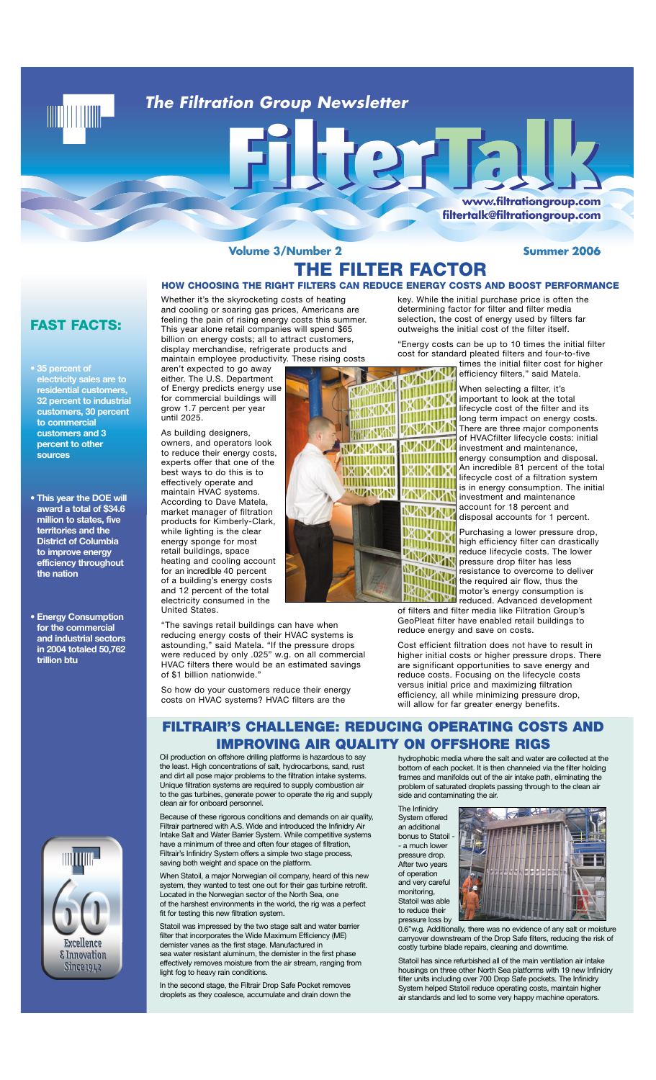

# *The Filtration Group Newsletter*

**www.filtrationgroup.com www.filtrationgroup w.filtrationgroup.com filtertalk@filtrationgroup.c filtertalk@filtrationgroup.com ltertalk@filtrationgro tertalk@filtrationgroup.comk@filtrationgroup.com**

### **Volume 3/Number 2**

#### **Summer 2006**

# **THE FILTER FACTOR**

**MARITA** 

**MARKET** 

**TESIDED** 

AHAHHH

**NAVAVA** 

mmmmmm

**D30D30D301 MINIMULATION** 

**NIXWAV** 

#### **HOW CHOOSING THE RIGHT FILTERS CAN REDUCE ENERGY COSTS AND BOOST PERFORMANCE**

**NAMES** 

**PERCEPTE** 

**DRIDADA** 

Hilling

**NUNUANZ** 

THUIHIITHII

**DAMDEDEO** 

**JININ JINI** 

**ENVIRONMENT NAVANZ** WWW. PEDEDRI **HARRY AND THE REAL** 

**TALLAR AND TALLARS** 

Whether it's the skyrocketing costs of heating and cooling or soaring gas prices, Americans are feeling the pain of rising energy costs this summer. This year alone retail companies will spend \$65 billion on energy costs; all to attract customers, display merchandise, refrigerate products and maintain employee productivity. These rising costs

aren't expected to go away either. The U.S. Department of Energy predicts energy use for commercial buildings will grow 1.7 percent per year until 2025.

As building designers, owners, and operators look to reduce their energy costs, experts offer that one of the best ways to do this is to effectively operate and maintain HVAC systems. According to Dave Matela, market manager of filtration products for Kimberly-Clark, while lighting is the clear energy sponge for most retail buildings, space heating and cooling account for an incredible 40 percent of a building's energy costs and 12 percent of the total electricity consumed in the United States.

"The savings retail buildings can have when reducing energy costs of their HVAC systems is astounding," said Matela. "If the pressure drops were reduced by only .025" w.g. on all commercial HVAC filters there would be an estimated savings of \$1 billion nationwide.

So how do your customers reduce their energy costs on HVAC systems? HVAC filters are the

key. While the initial purchase price is often the determining factor for filter and filter media selection, the cost of energy used by filters far outweighs the initial cost of the filter itself.

"Energy costs can be up to 10 times the initial filter cost for standard pleated filters and four-to-five

times the initial filter cost for higher efficiency filters," said Matela.

When selecting a filter, it's important to look at the total lifecycle cost of the filter and its long term impact on energy costs. There are three major components of HVACfilter lifecycle costs: initial investment and maintenance, energy consumption and disposal. An incredible 81 percent of the total lifecycle cost of a filtration system is in energy consumption. The initial investment and maintenance account for 18 percent and disposal accounts for 1 percent.

Purchasing a lower pressure drop, high efficiency filter can drastically reduce lifecycle costs. The lower **PANANA reque literature drop filter has less** resistance to overcome to deliver  $\frac{1}{2}$   $\frac{1}{2}$  resistance to overcome  $\sim$   $\sim$ motor's energy consumption is reduced. Advanced development

of filters and filter media like Filtration Group's GeoPleat filter have enabled retail buildings to reduce energy and save on costs.

Cost efficient filtration does not have to result in higher initial costs or higher pressure drops. There are significant opportunities to save energy and reduce costs. Focusing on the lifecycle costs versus initial price and maximizing filtration efficiency, all while minimizing pressure drop, will allow for far greater energy benefits.

### **FILTRAIR'S CHALLENGE: REDUCING OPERATING COSTS AND IMPROVING AIR QUALITY ON OFFSHORE RIGS**

Oil production on offshore drilling platforms is hazardous to say the least. High concentrations of salt, hydrocarbons, sand, rust and dirt all pose major problems to the filtration intake systems. Unique filtration systems are required to supply combustion air to the gas turbines, generate power to operate the rig and supply clean air for onboard personnel.

ecause of these rigorous conditions and demands on air quality, Filtrair partnered with A.S. Wide and introduced the Infinidry Air Intake Salt and Water Barrier System. While competitive systems have a minimum of three and often four stages of filtration, Filtrair's Infinidry System offers a simple two stage process, saving both weight and space on the platform.

When Statoil, a major Norwegian oil company, heard of this new system, they wanted to test one out for their gas turbine retrofit. Located in the Norwegian sector of the North Sea, one of the harshest environments in the world, the rig was a perfect fit for testing this new filtration system.

Statoil was impressed by the two stage salt and water barrier filter that incorporates the Wide Maximum Efficiency (ME) demister vanes as the first stage. Manufactured in sea water resistant aluminum, the demister in the first phase effectively removes moisture from the air stream, ranging from light fog to heavy rain conditions.

In the second stage, the Filtrair Drop Safe Pocket removes droplets as they coalesce, accumulate and drain down the hydrophobic media where the salt and water are collected at the bottom of each pocket. It is then channeled via the filter holding frames and manifolds out of the air intake path, eliminating the problem of saturated droplets passing through to the clean air side and contaminating the air.

The Infinidry System offered an additional bonus to Statoil - a much lower pressure drop. .<br>After two years of operation and very careful monitoring, Statoil was able to reduce their pressure loss by



0.6"w.g. Additionally, there was no evidence of any salt or moisture carryover downstream of the Drop Safe filters, reducing the risk of costly turbine blade repairs, cleaning and downtime.

Statoil has since refurbished all of the main ventilation air intake housings on three other North Sea platforms with 19 new Infinidry filter units including over 700 Drop Safe pockets. The Infinidry System helped Statoil reduce operating costs, maintain higher air standards and led to some very happy machine operators.

### **FAST FACTS:**

- **35 percent of electricity sales are to residential customers, 32 percent to industrial customers, 30 percent to commercial customers and 3 percent to other sources**
- **This year the DOE will award a total of \$34.6 million to states, five territories and the District of Columbia to improve energy efficiency throughout the nation**
- **Energy Consumption for the commercial and industrial sectors in 2004 totaled 50,762 trillion btu**